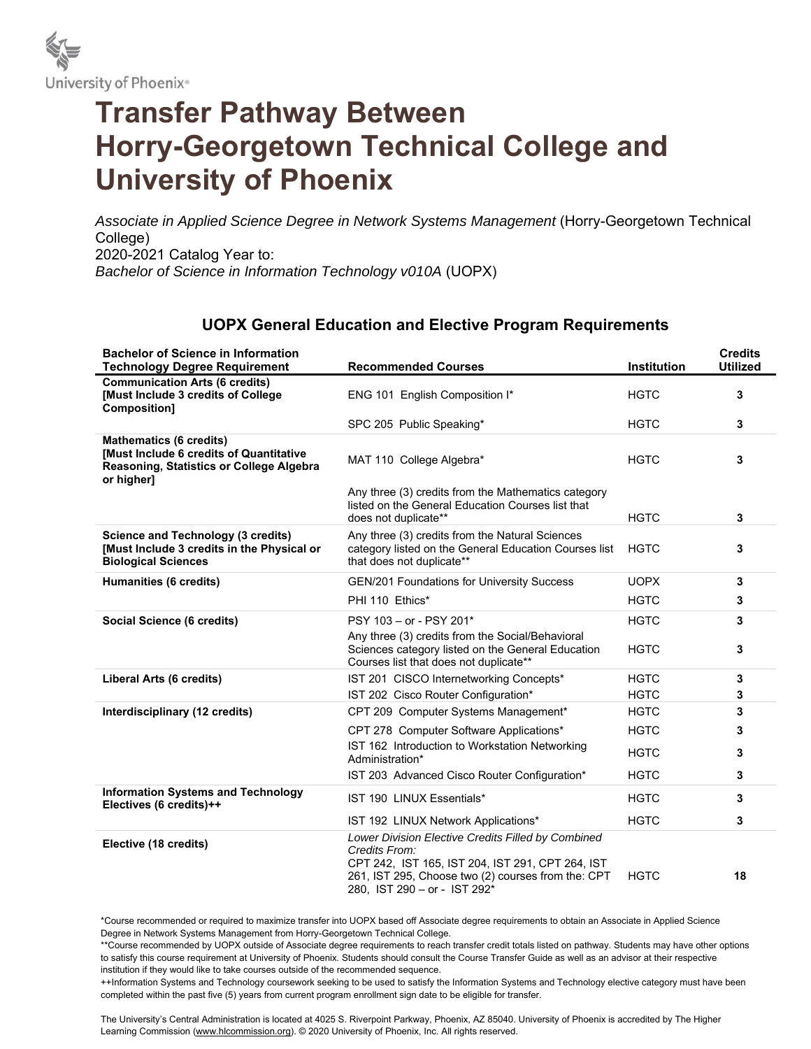

## **Transfer Pathway Between Horry-Georgetown Technical College and University of Phoenix**

Associate in Applied Science Degree in Network Systems Management (Horry-Georgetown Technical College) 2020-2021 Catalog Year to: *Bachelor of Science in Information Technology v010A* (UOPX)

## **UOPX General Education and Elective Program Requirements**

| <b>Bachelor of Science in Information</b><br><b>Technology Degree Requirement</b>                                                   | <b>Recommended Courses</b>                                                                                                                                                                                    | <b>Institution</b> | <b>Credits</b><br><b>Utilized</b> |
|-------------------------------------------------------------------------------------------------------------------------------------|---------------------------------------------------------------------------------------------------------------------------------------------------------------------------------------------------------------|--------------------|-----------------------------------|
| <b>Communication Arts (6 credits)</b><br>[Must Include 3 credits of College<br>Composition]                                         | ENG 101 English Composition I*                                                                                                                                                                                | <b>HGTC</b>        | 3                                 |
|                                                                                                                                     | SPC 205 Public Speaking*                                                                                                                                                                                      | <b>HGTC</b>        | 3                                 |
| <b>Mathematics (6 credits)</b><br>[Must Include 6 credits of Quantitative<br>Reasoning, Statistics or College Algebra<br>or higher] | MAT 110 College Algebra*<br>Any three (3) credits from the Mathematics category<br>listed on the General Education Courses list that                                                                          | <b>HGTC</b>        | 3                                 |
|                                                                                                                                     | does not duplicate**                                                                                                                                                                                          | <b>HGTC</b>        | 3                                 |
| <b>Science and Technology (3 credits)</b><br>[Must Include 3 credits in the Physical or<br><b>Biological Sciences</b>               | Any three (3) credits from the Natural Sciences<br>category listed on the General Education Courses list<br>that does not duplicate**                                                                         | <b>HGTC</b>        | 3                                 |
| Humanities (6 credits)                                                                                                              | <b>GEN/201 Foundations for University Success</b>                                                                                                                                                             | <b>UOPX</b>        | 3                                 |
|                                                                                                                                     | PHI 110 Ethics*                                                                                                                                                                                               | <b>HGTC</b>        | 3                                 |
| Social Science (6 credits)                                                                                                          | PSY 103 - or - PSY 201*                                                                                                                                                                                       | <b>HGTC</b>        | 3                                 |
|                                                                                                                                     | Any three (3) credits from the Social/Behavioral<br>Sciences category listed on the General Education<br>Courses list that does not duplicate**                                                               | <b>HGTC</b>        | 3                                 |
| Liberal Arts (6 credits)                                                                                                            | IST 201 CISCO Internetworking Concepts*                                                                                                                                                                       | <b>HGTC</b>        | 3                                 |
|                                                                                                                                     | IST 202 Cisco Router Configuration*                                                                                                                                                                           | <b>HGTC</b>        | 3                                 |
| Interdisciplinary (12 credits)                                                                                                      | CPT 209 Computer Systems Management*                                                                                                                                                                          | <b>HGTC</b>        | 3                                 |
|                                                                                                                                     | CPT 278 Computer Software Applications*                                                                                                                                                                       | <b>HGTC</b>        | 3                                 |
|                                                                                                                                     | IST 162 Introduction to Workstation Networking<br>Administration*                                                                                                                                             | <b>HGTC</b>        | 3                                 |
|                                                                                                                                     | IST 203 Advanced Cisco Router Configuration*                                                                                                                                                                  | <b>HGTC</b>        | 3                                 |
| <b>Information Systems and Technology</b><br>Electives (6 credits)++                                                                | IST 190 LINUX Essentials*                                                                                                                                                                                     | <b>HGTC</b>        | 3                                 |
|                                                                                                                                     | IST 192 LINUX Network Applications*                                                                                                                                                                           | <b>HGTC</b>        | 3                                 |
| Elective (18 credits)                                                                                                               | Lower Division Elective Credits Filled by Combined<br>Credits From:<br>CPT 242, IST 165, IST 204, IST 291, CPT 264, IST<br>261, IST 295, Choose two (2) courses from the: CPT<br>280, IST 290 - or - IST 292* | <b>HGTC</b>        | 18                                |

\*Course recommended or required to maximize transfer into UOPX based off Associate degree requirements to obtain an Associate in Applied Science Degree in Network Systems Management from Horry-Georgetown Technical College.

\*\*Course recommended by UOPX outside of Associate degree requirements to reach transfer credit totals listed on pathway. Students may have other options to satisfy this course requirement at University of Phoenix. Students should consult the Course Transfer Guide as well as an advisor at their respective institution if they would like to take courses outside of the recommended sequence.

++Information Systems and Technology coursework seeking to be used to satisfy the Information Systems and Technology elective category must have been completed within the past five (5) years from current program enrollment sign date to be eligible for transfer.

The University's Central Administration is located at 4025 S. Riverpoint Parkway, Phoenix, AZ 85040. University of Phoenix is accredited by The Higher Learning Commission (www.hlcommission.org). © 2020 University of Phoenix, Inc. All rights reserved.